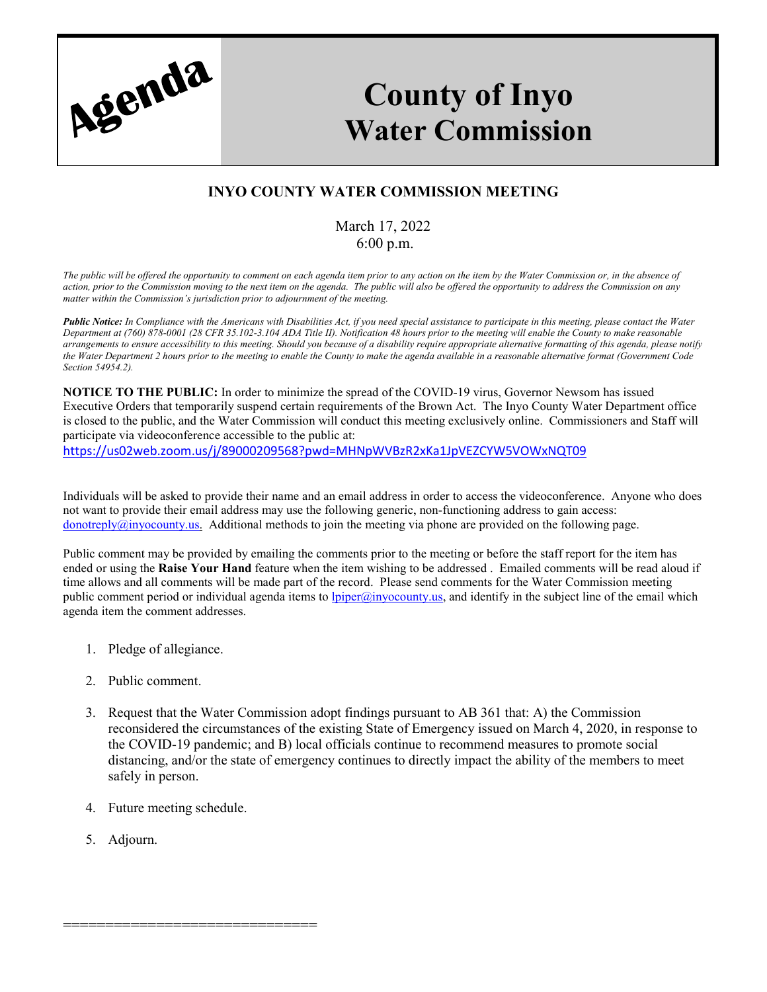

## **County of Inyo Water Commission**

## **INYO COUNTY WATER COMMISSION MEETING**

## March 17, 2022 6:00 p.m.

*The public will be offered the opportunity to comment on each agenda item prior to any action on the item by the Water Commission or, in the absence of action, prior to the Commission moving to the next item on the agenda. The public will also be offered the opportunity to address the Commission on any matter within the Commission's jurisdiction prior to adjournment of the meeting.*

*Public Notice: In Compliance with the Americans with Disabilities Act, if you need special assistance to participate in this meeting, please contact the Water Department at (760) 878-0001 (28 CFR 35.102-3.104 ADA Title II). Notification 48 hours prior to the meeting will enable the County to make reasonable arrangements to ensure accessibility to this meeting. Should you because of a disability require appropriate alternative formatting of this agenda, please notify the Water Department 2 hours prior to the meeting to enable the County to make the agenda available in a reasonable alternative format (Government Code Section 54954.2).*

**NOTICE TO THE PUBLIC:** In order to minimize the spread of the COVID-19 virus, Governor Newsom has issued Executive Orders that temporarily suspend certain requirements of the Brown Act. The Inyo County Water Department office is closed to the public, and the Water Commission will conduct this meeting exclusively online. Commissioners and Staff will participate via videoconference accessible to the public at:

<https://us02web.zoom.us/j/89000209568?pwd=MHNpWVBzR2xKa1JpVEZCYW5VOWxNQT09>

Individuals will be asked to provide their name and an email address in order to access the videoconference. Anyone who does not want to provide their email address may use the following generic, non-functioning address to gain access: donotreply $@inyocouty.$ us. Additional methods to join the meeting via phone are provided on the following page.

Public comment may be provided by emailing the comments prior to the meeting or before the staff report for the item has ended or using the **Raise Your Hand** feature when the item wishing to be addressed . Emailed comments will be read aloud if time allows and all comments will be made part of the record. Please send comments for the Water Commission meeting public comment period or individual agenda items to *lpiper@inyocounty.us*, and identify in the subject line of the email which agenda item the comment addresses.

- 1. Pledge of allegiance.
- 2. Public comment.
- 3. Request that the Water Commission adopt findings pursuant to AB 361 that: A) the Commission reconsidered the circumstances of the existing State of Emergency issued on March 4, 2020, in response to the COVID-19 pandemic; and B) local officials continue to recommend measures to promote social distancing, and/or the state of emergency continues to directly impact the ability of the members to meet safely in person.
- 4. Future meeting schedule.

==============================

5. Adjourn.